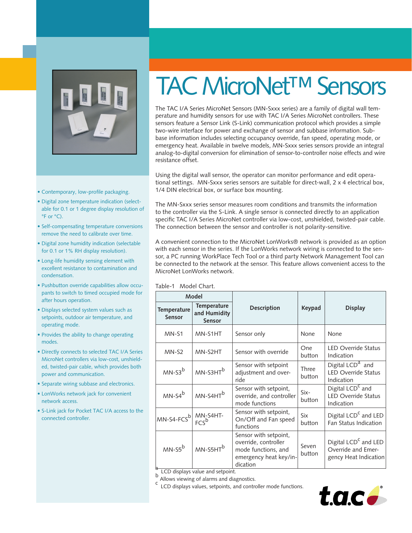

• •

- Contemporary, low-profile packaging.
- Digital zone temperature indication (selectable for 0.1 or 1 degree display resolution of °F or °C).
- Self-compensating temperature conversions remove the need to calibrate over time.
- Digital zone humidity indication (selectable for 0.1 or 1% RH display resolution).
- Long-life humidity sensing element with excellent resistance to contamination and condensation.
- Pushbutton override capabilities allow occupants to switch to timed occupied mode for after hours operation.
- Displays selected system values such as setpoints, outdoor air temperature, and operating mode.
- Provides the ability to change operating modes.
- Directly connects to selected TAC I/A Series MicroNet controllers via low-cost, unshielded, twisted-pair cable, which provides both power and communication.
- Separate wiring subbase and electronics.
- LonWorks network jack for convenient network access.
- S-Link jack for Pocket TAC I/A access to the connected controller.

# TAC MicroNet<sup>™</sup> Sensors

The TAC I/A Series MicroNet Sensors (MN-Sxxx series) are a family of digital wall temperature and humidity sensors for use with TAC I/A Series MicroNet controllers. These sensors feature a Sensor Link (S-Link) communication protocol which provides a simple two-wire interface for power and exchange of sensor and subbase information. Subbase information includes selecting occupancy override, fan speed, operating mode, or emergency heat. Available in twelve models, MN-Sxxx series sensors provide an integral analog-to-digital conversion for elimination of sensor-to-controller noise effects and wire resistance offset.

Using the digital wall sensor, the operator can monitor performance and edit operational settings. MN-Sxxx series sensors are suitable for direct-wall, 2 x 4 electrical box, 1/4 DIN electrical box, or surface box mounting.

The MN-Sxxx series sensor measures room conditions and transmits the information to the controller via the S-Link. A single sensor is connected directly to an application specific TAC I/A Series MicroNet controller via low-cost, unshielded, twisted-pair cable. The connection between the sensor and controller is not polarity-sensitive.

A convenient connection to the MicroNet LonWorks® network is provided as an option with each sensor in the series. If the LonWorks network wiring is connected to the sensor, a PC running WorkPlace Tech Tool or a third party Network Management Tool can be connected to the network at the sensor. This feature allows convenient access to the MicroNet LonWorks network.

| Model                           |                                                         |                                                                                                            |                 |                                                                                 |
|---------------------------------|---------------------------------------------------------|------------------------------------------------------------------------------------------------------------|-----------------|---------------------------------------------------------------------------------|
| Temperature<br><b>Sensor</b>    | Temperature<br>and Humidity<br><b>Sensor</b>            | <b>Description</b>                                                                                         | Keypad          | <b>Display</b>                                                                  |
| $MN-51$                         | MN-S1HT                                                 | Sensor only                                                                                                | None            | None                                                                            |
| $MN-S2$                         | MN-S2HT                                                 | Sensor with override                                                                                       | One<br>button   | <b>LED Override Status</b><br>Indication                                        |
| $MN-S3b$                        | $MN-S3HTb$                                              | Sensor with setpoint<br>adjustment and over-<br>ride                                                       | Three<br>button | Digital $LCD^{\overline{a}}$ and<br><b>LED Override Status</b><br>Indication    |
| $MN-S4^b$                       | $MN-S4HTb$                                              | Sensor with setpoint,<br>override, and controller<br>mode functions                                        | Six-<br>button  | Digital LCD <sup>C</sup> and<br><b>LED Override Status</b><br>Indication        |
| MN-S4-FCS <sup>b</sup> MN-S4HT- |                                                         | Sensor with setpoint,<br>On/Off and Fan speed<br>functions                                                 | Six<br>button   | Digital LCD <sup>C</sup> and LED<br>Fan Status Indication                       |
| $MN-S5^b$                       | MN-S5HT <sup>b</sup><br>LCD displays value and setpoint | Sensor with setpoint,<br>override, controller<br>mode functions, and<br>emergency heat key/in-<br>dication | Seven<br>button | Digital LCD <sup>C</sup> and LED<br>Override and Emer-<br>gency Heat Indication |

 $_{\rm b}^{\rm o}$  LCD displays value and setpoint.<br><sup>b</sup> Allows viewing of alarms and diagnostics.

c LCD displays values, setpoints, and controller mode functions.

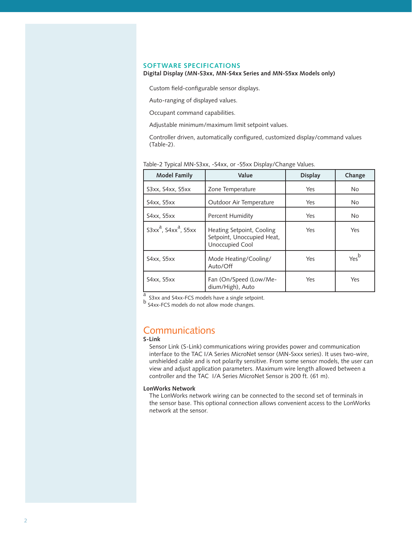#### **SOFTWARE SPECIFICATIONS**

#### **Digital Display (MN-S3xx, MN-S4xx Series and MN-S5xx Models only)**

Custom field-configurable sensor displays.

Auto-ranging of displayed values.

Occupant command capabilities.

Adjustable minimum/maximum limit setpoint values.

Controller driven, automatically configured, customized display/command values (Table-2).

| <b>Model Family</b>          | Value                                                                      | <b>Display</b> | Change           |
|------------------------------|----------------------------------------------------------------------------|----------------|------------------|
| S3xx, S4xx, S5xx             | Zone Temperature                                                           | Yes            | No               |
| S4xx, S5xx                   | Outdoor Air Temperature                                                    | Yes            | <b>No</b>        |
| S4xx, S5xx                   | <b>Percent Humidity</b>                                                    | Yes            | <b>No</b>        |
| $S3xx^a$ , $S4xx^a$ , $S5xx$ | Heating Setpoint, Cooling<br>Setpoint, Unoccupied Heat,<br>Unoccupied Cool | Yes            | Yes              |
| S4xx, S5xx                   | Mode Heating/Cooling/<br>Auto/Off                                          | Yes            | Yes <sup>b</sup> |
| S4xx, S5xx                   | Fan (On/Speed (Low/Me-<br>dium/High), Auto                                 | Yes            | Yes              |

#### Table-2 Typical MN-S3xx, -S4xx, or -S5xx Display/Change Values.

<sup>a</sup> S3xx and S4xx-FCS models have a single setpoint.

 $\mu$  S3xx and S4xx-FCS models have a single setpoint.<br>b S4xx-FCS models do not allow mode changes.

### Communications

#### **S-Link**

Sensor Link (S-Link) communications wiring provides power and communication interface to the TAC I/A Series MicroNet sensor (MN-Sxxx series). It uses two-wire, unshielded cable and is not polarity sensitive. From some sensor models, the user can view and adjust application parameters. Maximum wire length allowed between a controller and the TAC I/A Series MicroNet Sensor is 200 ft. (61 m).

#### **LonWorks Network**

The LonWorks network wiring can be connected to the second set of terminals in the sensor base. This optional connection allows convenient access to the LonWorks network at the sensor.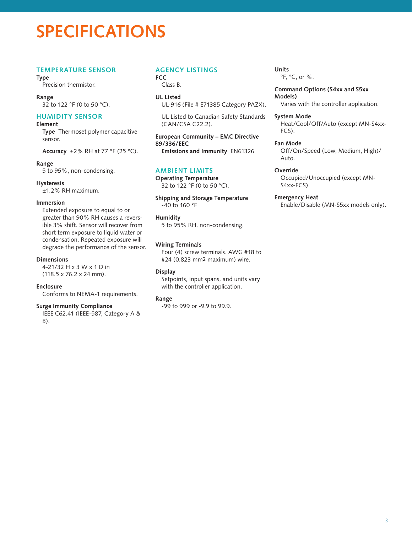## **SPECIFICATIONS**

#### **Temperature Sensor**

**Type**

Precision thermistor.

**Range** 32 to 122 °F (0 to 50 °C).

#### **Humidity Sensor**

#### **Element**

**Type** Thermoset polymer capacitive sensor.

**Accuracy** ±2% RH at 77 °F (25 °C).

#### **Range**

5 to 95%, non-condensing.

#### **Hysteresis**

±1.2% RH maximum.

#### **Immersion**

Extended exposure to equal to or greater than 90% RH causes a reversible 3% shift. Sensor will recover from short term exposure to liquid water or condensation. Repeated exposure will degrade the performance of the sensor.

#### **Dimensions**

4-21/32 H x 3 W x 1 D in (118.5 x 76.2 x 24 mm).

#### **Enclosure**

Conforms to NEMA-1 requirements.

#### **Surge Immunity Compliance**

IEEE C62.41 (IEEE-587, Category A & B).

#### **Agency Listings**

**FCC**  Class B.

**UL Listed** UL-916 (File # E71385 Category PAZX).

UL Listed to Canadian Safety Standards (CAN/CSA C22.2).

**European Community – EMC Directive 89/336/EEC**

**Emissions and Immunity** EN61326

#### **Ambient Limits**

**Operating Temperature** 32 to 122 °F (0 to 50 °C).

**Shipping and Storage Temperature** -40 to 160 °F

#### **Humidity**

5 to 95% RH, non-condensing.

#### **Wiring Terminals**

Four (4) screw terminals. AWG #18 to #24 (0.823 mm2 maximum) wire.

#### **Display**

Setpoints, input spans, and units vary with the controller application.

#### **Range**

-99 to 999 or -9.9 to 99.9.

#### **Units** °F, °C, or %.

**Command Options (S4xx and S5xx Models)** Varies with the controller application.

**System Mode** Heat/Cool/Off/Auto (except MN-S4xx-FCS).

**Fan Mode** Off/On/Speed (Low, Medium, High)/ Auto.

#### **Override**

Occupied/Unoccupied (except MN-S4xx-FCS).

**Emergency Heat** Enable/Disable (MN-S5xx models only).